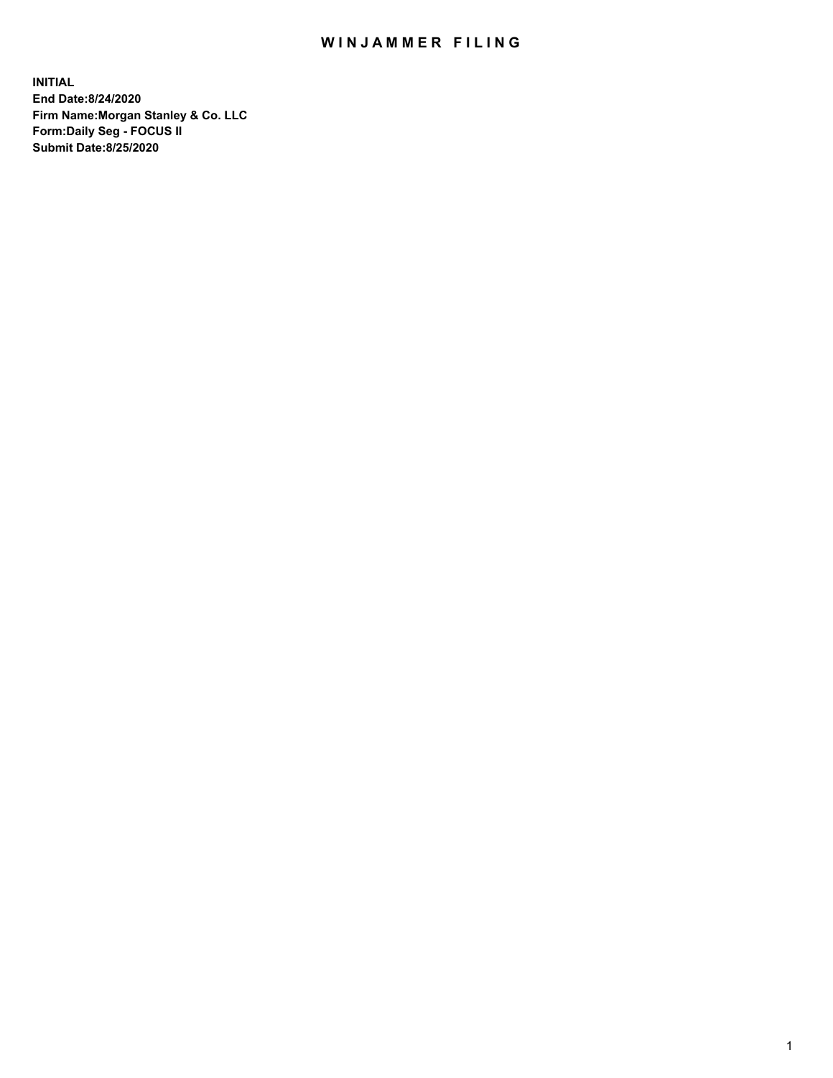## WIN JAMMER FILING

**INITIAL End Date:8/24/2020 Firm Name:Morgan Stanley & Co. LLC Form:Daily Seg - FOCUS II Submit Date:8/25/2020**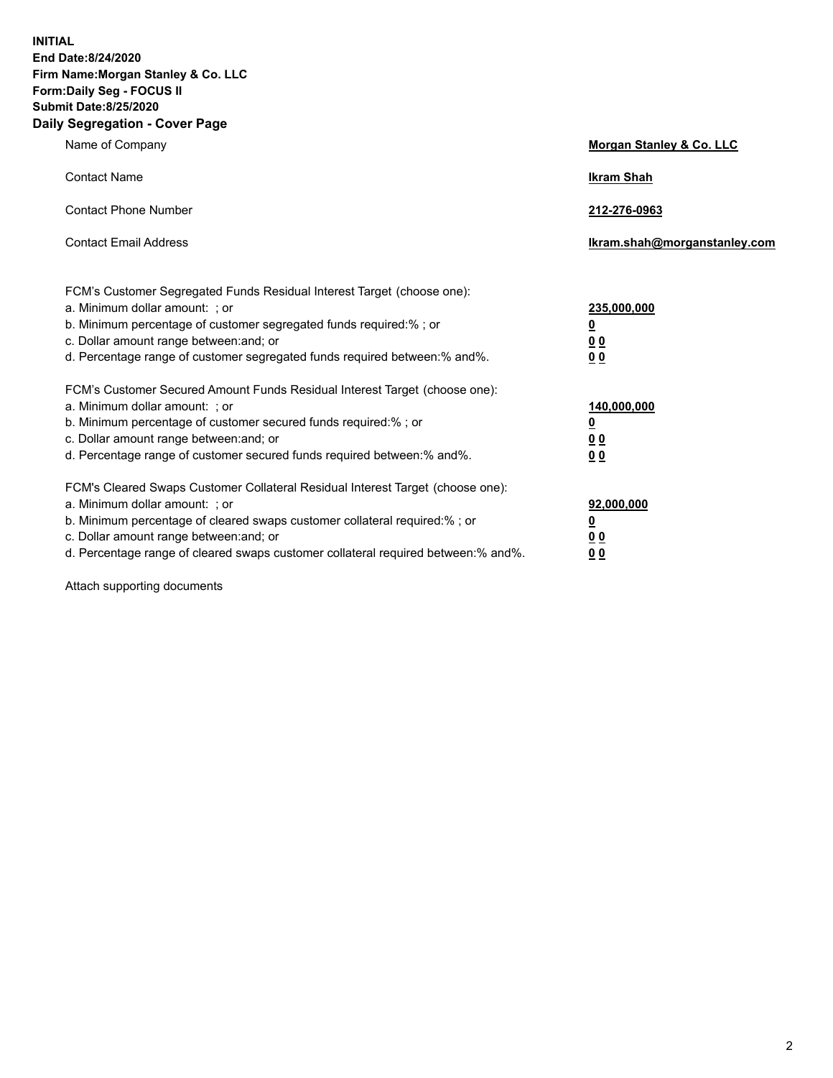**INITIAL End Date:8/24/2020 Firm Name:Morgan Stanley & Co. LLC Form:Daily Seg - FOCUS II Submit Date:8/25/2020 Daily Segregation - Cover Page**

| Name of Company                                                                                                                                                                                                                                                                                                                | Morgan Stanley & Co. LLC                                |
|--------------------------------------------------------------------------------------------------------------------------------------------------------------------------------------------------------------------------------------------------------------------------------------------------------------------------------|---------------------------------------------------------|
| <b>Contact Name</b>                                                                                                                                                                                                                                                                                                            | <b>Ikram Shah</b>                                       |
| <b>Contact Phone Number</b>                                                                                                                                                                                                                                                                                                    | 212-276-0963                                            |
| <b>Contact Email Address</b>                                                                                                                                                                                                                                                                                                   | Ikram.shah@morganstanley.com                            |
| FCM's Customer Segregated Funds Residual Interest Target (choose one):<br>a. Minimum dollar amount: ; or<br>b. Minimum percentage of customer segregated funds required:% ; or<br>c. Dollar amount range between: and; or<br>d. Percentage range of customer segregated funds required between:% and%.                         | 235,000,000<br><u>0</u><br><u>00</u><br><u>00</u>       |
| FCM's Customer Secured Amount Funds Residual Interest Target (choose one):<br>a. Minimum dollar amount: ; or<br>b. Minimum percentage of customer secured funds required:%; or<br>c. Dollar amount range between: and; or<br>d. Percentage range of customer secured funds required between:% and%.                            | 140,000,000<br><u>0</u><br><u>0 0</u><br>0 <sub>0</sub> |
| FCM's Cleared Swaps Customer Collateral Residual Interest Target (choose one):<br>a. Minimum dollar amount: ; or<br>b. Minimum percentage of cleared swaps customer collateral required:% ; or<br>c. Dollar amount range between: and; or<br>d. Percentage range of cleared swaps customer collateral required between:% and%. | 92,000,000<br><u>0</u><br><u>00</u><br>00               |

Attach supporting documents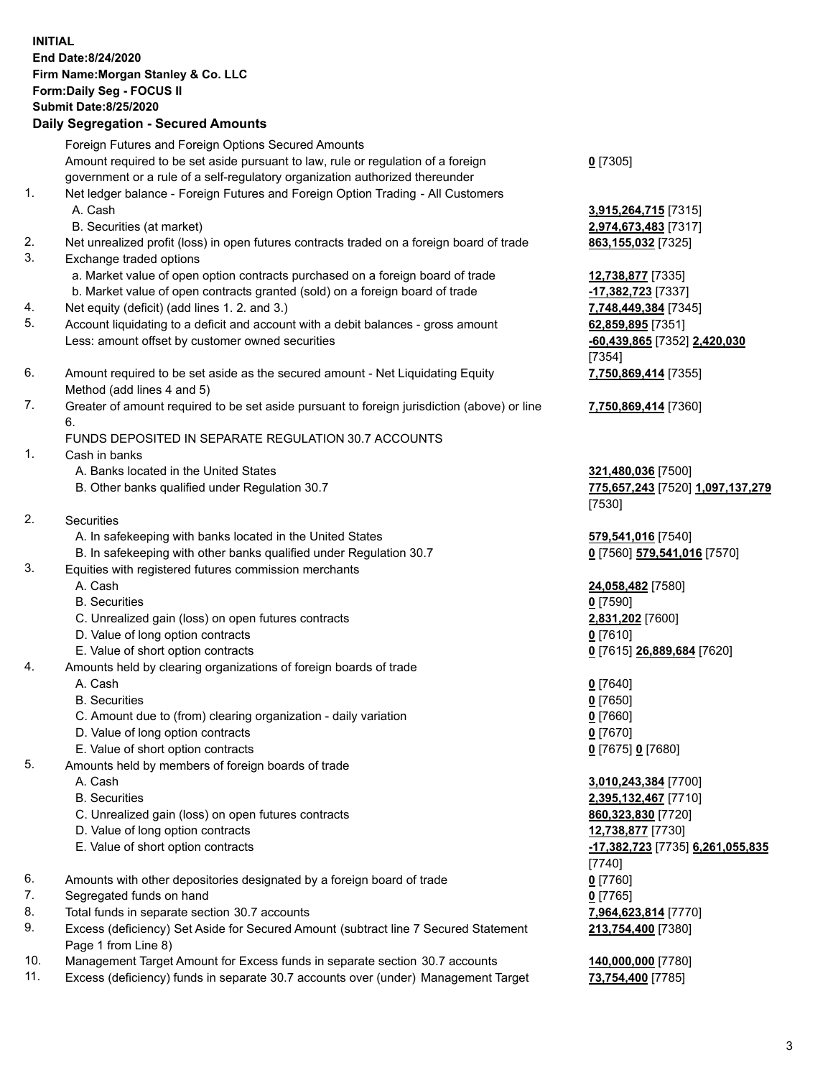## **INITIAL End Date:8/24/2020 Firm Name:Morgan Stanley & Co. LLC Form:Daily Seg - FOCUS II Submit Date:8/25/2020 Daily Segregation - Secured Amounts** Foreign Futures and Foreign Options Secured Amounts Amount required to be set aside pursuant to law, rule or regulation of a foreign government or a rule of a self-regulatory organization authorized thereunder **0** [7305] 1. Net ledger balance - Foreign Futures and Foreign Option Trading - All Customers A. Cash **3,915,264,715** [7315] B. Securities (at market) **2,974,673,483** [7317] 2. Net unrealized profit (loss) in open futures contracts traded on a foreign board of trade **863,155,032** [7325] 3. Exchange traded options a. Market value of open option contracts purchased on a foreign board of trade **12,738,877** [7335] b. Market value of open contracts granted (sold) on a foreign board of trade **-17,382,723** [7337] 4. Net equity (deficit) (add lines 1. 2. and 3.) **7,748,449,384** [7345] 5. Account liquidating to a deficit and account with a debit balances - gross amount **62,859,895** [7351] Less: amount offset by customer owned securities **-60,439,865** [7352] **2,420,030** [7354] 6. Amount required to be set aside as the secured amount - Net Liquidating Equity Method (add lines 4 and 5) **7,750,869,414** [7355] 7. Greater of amount required to be set aside pursuant to foreign jurisdiction (above) or line 6. **7,750,869,414** [7360] FUNDS DEPOSITED IN SEPARATE REGULATION 30.7 ACCOUNTS 1. Cash in banks A. Banks located in the United States **321,480,036** [7500] B. Other banks qualified under Regulation 30.7 **775,657,243** [7520] **1,097,137,279** [7530] 2. Securities A. In safekeeping with banks located in the United States **579,541,016** [7540] B. In safekeeping with other banks qualified under Regulation 30.7 **0** [7560] **579,541,016** [7570] 3. Equities with registered futures commission merchants A. Cash **24,058,482** [7580] B. Securities **0** [7590] C. Unrealized gain (loss) on open futures contracts **2,831,202** [7600] D. Value of long option contracts **0** [7610] E. Value of short option contracts **0** [7615] **26,889,684** [7620] 4. Amounts held by clearing organizations of foreign boards of trade A. Cash **0** [7640] B. Securities **0** [7650] C. Amount due to (from) clearing organization - daily variation **0** [7660] D. Value of long option contracts **0** [7670] E. Value of short option contracts **0** [7675] **0** [7680] 5. Amounts held by members of foreign boards of trade A. Cash **3,010,243,384** [7700] B. Securities **2,395,132,467** [7710] C. Unrealized gain (loss) on open futures contracts **860,323,830** [7720] D. Value of long option contracts **12,738,877** [7730] E. Value of short option contracts **-17,382,723** [7735] **6,261,055,835** [7740] 6. Amounts with other depositories designated by a foreign board of trade **0** [7760] 7. Segregated funds on hand **0** [7765] 8. Total funds in separate section 30.7 accounts **7,964,623,814** [7770] 9. Excess (deficiency) Set Aside for Secured Amount (subtract line 7 Secured Statement Page 1 from Line 8) **213,754,400** [7380]

- 10. Management Target Amount for Excess funds in separate section 30.7 accounts **140,000,000** [7780]
- 11. Excess (deficiency) funds in separate 30.7 accounts over (under) Management Target **73,754,400** [7785]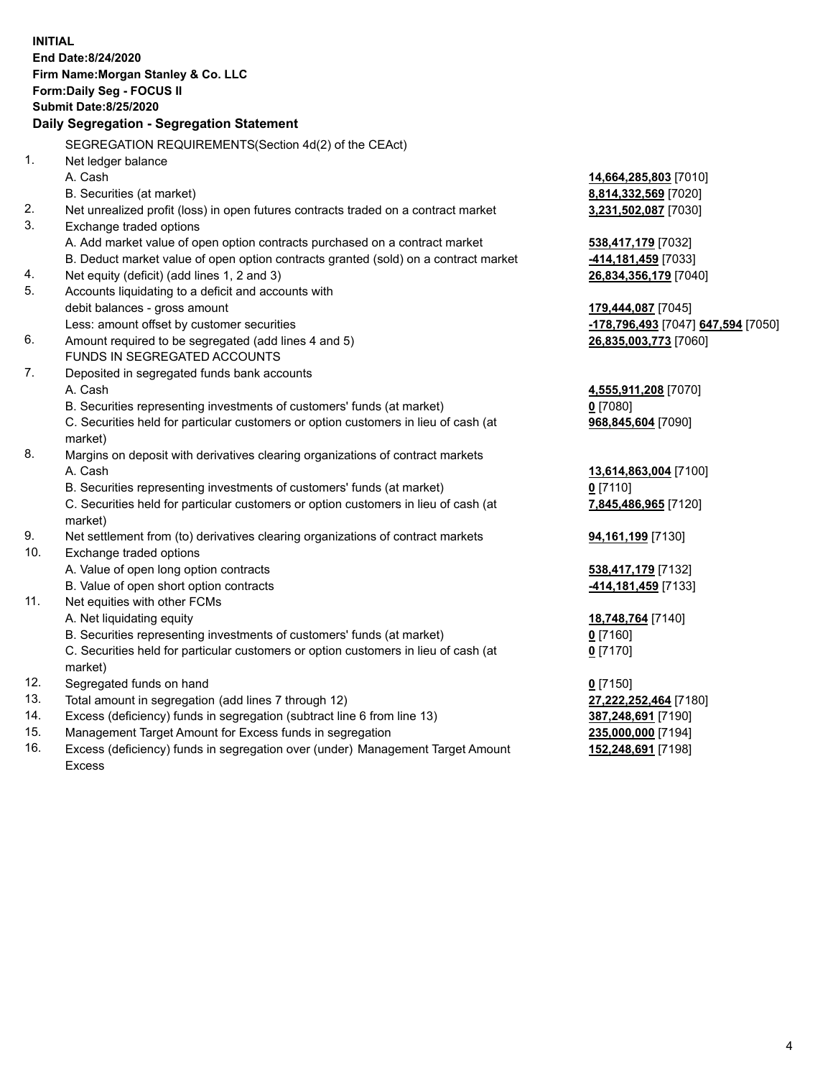|     | <b>INITIAL</b><br>End Date:8/24/2020<br>Firm Name: Morgan Stanley & Co. LLC<br>Form: Daily Seg - FOCUS II<br><b>Submit Date:8/25/2020</b><br>Daily Segregation - Segregation Statement |                                    |
|-----|----------------------------------------------------------------------------------------------------------------------------------------------------------------------------------------|------------------------------------|
|     |                                                                                                                                                                                        |                                    |
| 1.  | SEGREGATION REQUIREMENTS(Section 4d(2) of the CEAct)<br>Net ledger balance                                                                                                             |                                    |
|     | A. Cash                                                                                                                                                                                | 14,664,285,803 [7010]              |
|     | B. Securities (at market)                                                                                                                                                              | 8,814,332,569 [7020]               |
| 2.  | Net unrealized profit (loss) in open futures contracts traded on a contract market                                                                                                     | 3,231,502,087 [7030]               |
| 3.  | Exchange traded options                                                                                                                                                                |                                    |
|     | A. Add market value of open option contracts purchased on a contract market                                                                                                            | 538,417,179 [7032]                 |
|     | B. Deduct market value of open option contracts granted (sold) on a contract market                                                                                                    | -414,181,459 [7033]                |
| 4.  | Net equity (deficit) (add lines 1, 2 and 3)                                                                                                                                            | 26,834,356,179 [7040]              |
| 5.  | Accounts liquidating to a deficit and accounts with                                                                                                                                    |                                    |
|     | debit balances - gross amount                                                                                                                                                          | 179,444,087 [7045]                 |
|     | Less: amount offset by customer securities                                                                                                                                             | -178,796,493 [7047] 647,594 [7050] |
| 6.  | Amount required to be segregated (add lines 4 and 5)                                                                                                                                   | 26,835,003,773 [7060]              |
|     | FUNDS IN SEGREGATED ACCOUNTS                                                                                                                                                           |                                    |
| 7.  | Deposited in segregated funds bank accounts                                                                                                                                            |                                    |
|     | A. Cash                                                                                                                                                                                | 4,555,911,208 [7070]               |
|     | B. Securities representing investments of customers' funds (at market)                                                                                                                 | $0$ [7080]                         |
|     | C. Securities held for particular customers or option customers in lieu of cash (at                                                                                                    | 968,845,604 [7090]                 |
|     | market)                                                                                                                                                                                |                                    |
| 8.  | Margins on deposit with derivatives clearing organizations of contract markets                                                                                                         |                                    |
|     | A. Cash                                                                                                                                                                                | 13,614,863,004 [7100]              |
|     | B. Securities representing investments of customers' funds (at market)                                                                                                                 | $0$ [7110]                         |
|     | C. Securities held for particular customers or option customers in lieu of cash (at<br>market)                                                                                         | 7,845,486,965 [7120]               |
| 9.  | Net settlement from (to) derivatives clearing organizations of contract markets                                                                                                        | 94,161,199 [7130]                  |
| 10. | Exchange traded options                                                                                                                                                                |                                    |
|     | A. Value of open long option contracts                                                                                                                                                 | 538,417,179 [7132]                 |
|     | B. Value of open short option contracts                                                                                                                                                | 414, 181, 459 [7133]               |
| 11. | Net equities with other FCMs                                                                                                                                                           |                                    |
|     | A. Net liquidating equity                                                                                                                                                              | 18,748,764 [7140]                  |
|     | B. Securities representing investments of customers' funds (at market)                                                                                                                 | $0$ [7160]                         |
|     | C. Securities held for particular customers or option customers in lieu of cash (at<br>market)                                                                                         | $0$ [7170]                         |
| 12. | Segregated funds on hand                                                                                                                                                               | $0$ [7150]                         |
| 13. | Total amount in segregation (add lines 7 through 12)                                                                                                                                   | 27,222,252,464 [7180]              |
| 14. | Excess (deficiency) funds in segregation (subtract line 6 from line 13)                                                                                                                | 387,248,691 [7190]                 |
| 15. | Management Target Amount for Excess funds in segregation                                                                                                                               | 235,000,000 [7194]                 |
| 16. | Excess (deficiency) funds in segregation over (under) Management Target Amount                                                                                                         | 152,248,691 [7198]                 |

16. Excess (deficiency) funds in segregation over (under) Management Target Amount Excess